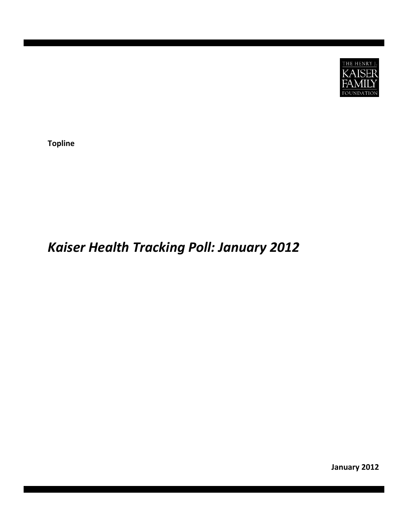

**Topline**

# *Kaiser Health Tracking Poll: January 2012*

**January 2012**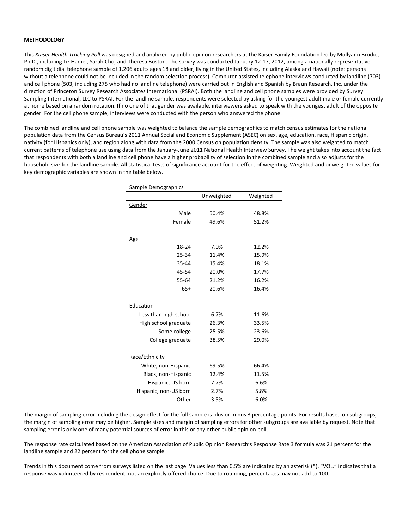## **METHODOLOGY**

This *Kaiser Health Tracking Poll* was designed and analyzed by public opinion researchers at the Kaiser Family Foundation led by Mollyann Brodie, Ph.D., including Liz Hamel, Sarah Cho, and Theresa Boston. The survey was conducted January 12‐17, 2012, among a nationally representative random digit dial telephone sample of 1,206 adults ages 18 and older, living in the United States, including Alaska and Hawaii (note: persons without a telephone could not be included in the random selection process). Computer‐assisted telephone interviews conducted by landline (703) and cell phone (503, including 275 who had no landline telephone) were carried out in English and Spanish by Braun Research, Inc. under the direction of Princeton Survey Research Associates International (PSRAI). Both the landline and cell phone samples were provided by Survey Sampling International, LLC to PSRAI. For the landline sample, respondents were selected by asking for the youngest adult male or female currently at home based on a random rotation. If no one of that gender was available, interviewers asked to speak with the youngest adult of the opposite gender. For the cell phone sample, interviews were conducted with the person who answered the phone.

The combined landline and cell phone sample was weighted to balance the sample demographics to match census estimates for the national population data from the Census Bureau's 2011 Annual Social and Economic Supplement (ASEC) on sex, age, education, race, Hispanic origin, nativity (for Hispanics only), and region along with data from the 2000 Census on population density. The sample was also weighted to match current patterns of telephone use using data from the January‐June 2011 National Health Interview Survey. The weight takes into account the fact that respondents with both a landline and cell phone have a higher probability of selection in the combined sample and also adjusts for the household size for the landline sample. All statistical tests of significance account for the effect of weighting. Weighted and unweighted values for key demographic variables are shown in the table below.

| Sample Demographics   |            |          |  |  |  |
|-----------------------|------------|----------|--|--|--|
|                       | Unweighted | Weighted |  |  |  |
| Gender                |            |          |  |  |  |
| Male                  | 50.4%      | 48.8%    |  |  |  |
| Female                | 49.6%      | 51.2%    |  |  |  |
|                       |            |          |  |  |  |
| <u>Age</u>            |            |          |  |  |  |
| 18-24                 | 7.0%       | 12.2%    |  |  |  |
| 25-34                 | 11.4%      | 15.9%    |  |  |  |
| 35-44                 | 15.4%      | 18.1%    |  |  |  |
| 45-54                 | 20.0%      | 17.7%    |  |  |  |
| 55-64                 | 21.2%      | 16.2%    |  |  |  |
| $65+$                 | 20.6%      | 16.4%    |  |  |  |
|                       |            |          |  |  |  |
| Education             |            |          |  |  |  |
| Less than high school | 6.7%       | 11.6%    |  |  |  |
| High school graduate  | 26.3%      | 33.5%    |  |  |  |
| Some college          | 25.5%      | 23.6%    |  |  |  |
| College graduate      | 38.5%      | 29.0%    |  |  |  |
|                       |            |          |  |  |  |
| Race/Ethnicity        |            |          |  |  |  |
| White, non-Hispanic   | 69.5%      | 66.4%    |  |  |  |
| Black, non-Hispanic   | 12.4%      | 11.5%    |  |  |  |
| Hispanic, US born     | 7.7%       | 6.6%     |  |  |  |
| Hispanic, non-US born | 2.7%       | 5.8%     |  |  |  |
| Other                 | 3.5%       | 6.0%     |  |  |  |

The margin of sampling error including the design effect for the full sample is plus or minus 3 percentage points. For results based on subgroups, the margin of sampling error may be higher. Sample sizes and margin of sampling errors for other subgroups are available by request. Note that sampling error is only one of many potential sources of error in this or any other public opinion poll.

The response rate calculated based on the American Association of Public Opinion Research's Response Rate 3 formula was 21 percent for the landline sample and 22 percent for the cell phone sample.

Trends in this document come from surveys listed on the last page. Values less than 0.5% are indicated by an asterisk (\*). "VOL." indicates that a response was volunteered by respondent, not an explicitly offered choice. Due to rounding, percentages may not add to 100.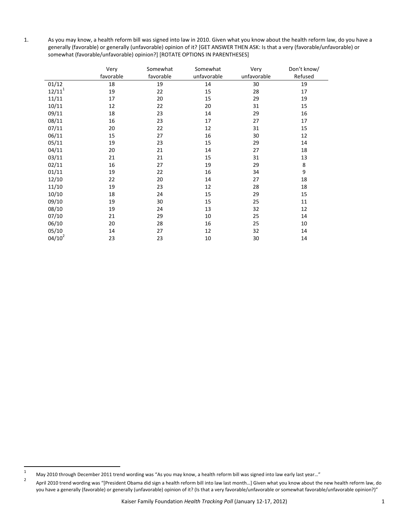1. As you may know, a health reform bill was signed into law in 2010. Given what you know about the health reform law, do you have a generally (favorable) or generally (unfavorable) opinion of it? [GET ANSWER THEN ASK: Is that a very (favorable/unfavorable) or somewhat (favorable/unfavorable) opinion?] [ROTATE OPTIONS IN PARENTHESES]

|                    | Very      | Somewhat  | Somewhat    | Very        | Don't know/ |
|--------------------|-----------|-----------|-------------|-------------|-------------|
|                    | favorable | favorable | unfavorable | unfavorable | Refused     |
| 01/12              | 18        | 19        | 14          | 30          | 19          |
| 12/11 <sup>1</sup> | 19        | 22        | 15          | 28          | 17          |
| 11/11              | 17        | 20        | 15          | 29          | 19          |
| 10/11              | 12        | 22        | 20          | 31          | 15          |
| 09/11              | 18        | 23        | 14          | 29          | 16          |
| 08/11              | 16        | 23        | 17          | 27          | 17          |
| 07/11              | 20        | 22        | 12          | 31          | 15          |
| 06/11              | 15        | 27        | 16          | 30          | 12          |
| 05/11              | 19        | 23        | 15          | 29          | 14          |
| 04/11              | 20        | 21        | 14          | 27          | 18          |
| 03/11              | 21        | 21        | 15          | 31          | 13          |
| 02/11              | 16        | 27        | 19          | 29          | 8           |
| 01/11              | 19        | 22        | 16          | 34          | 9           |
| 12/10              | 22        | 20        | 14          | 27          | 18          |
| 11/10              | 19        | 23        | 12          | 28          | 18          |
| 10/10              | 18        | 24        | 15          | 29          | 15          |
| 09/10              | 19        | 30        | 15          | 25          | 11          |
| 08/10              | 19        | 24        | 13          | 32          | 12          |
| 07/10              | 21        | 29        | 10          | 25          | 14          |
| 06/10              | 20        | 28        | 16          | 25          | 10          |
| 05/10              | 14        | 27        | 12          | 32          | 14          |
| $04/10^2$          | 23        | 23        | 10          | 30          | 14          |

<sup>1</sup> May 2010 through December 2011 trend wording was "As you may know, a health reform bill was signed into law early last year..."

<sup>2</sup> April 2010 trend wording was "[President Obama did sign a health reform bill into law last month…] Given what you know about the new health reform law, do you have a generally (favorable) or generally (unfavorable) opinion of it? (Is that a very favorable/unfavorable or somewhat favorable/unfavorable opinion?)"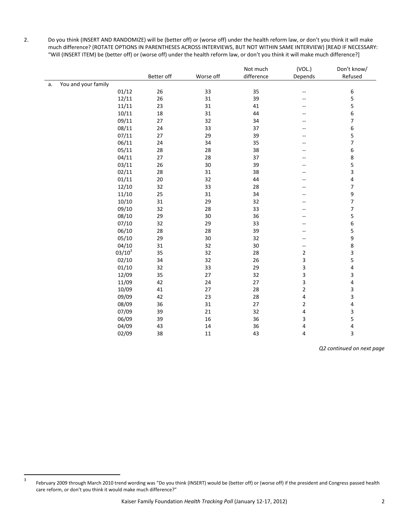2. Do you think (INSERT AND RANDOMIZE) will be (better off) or (worse off) under the health reform law, or don't you think it will make much difference? (ROTATE OPTIONS IN PARENTHESES ACROSS INTERVIEWS, BUT NOT WITHIN SAME INTERVIEW) [READ IF NECESSARY: "Will (INSERT ITEM) be (better off) or (worse off) under the health reform law, or don't you think it will make much difference?]

|    |                     |            |           | Not much   | (VOL.)                                              | Don't know/              |
|----|---------------------|------------|-----------|------------|-----------------------------------------------------|--------------------------|
|    |                     | Better off | Worse off | difference | Depends                                             | Refused                  |
| a. | You and your family |            |           |            |                                                     |                          |
|    | 01/12               | 26         | 33        | 35         | $- -$                                               | 6                        |
|    | 12/11               | 26         | 31        | 39         | --                                                  | 5                        |
|    | 11/11               | 23         | 31        | 41         | $-$                                                 | 5                        |
|    | 10/11               | 18         | 31        | 44         | --                                                  | 6                        |
|    | 09/11               | 27         | 32        | 34         | --                                                  | 7                        |
|    | 08/11               | 24         | 33        | 37         |                                                     | 6                        |
|    | 07/11               | 27         | 29        | 39         |                                                     | 5                        |
|    | 06/11               | 24         | 34        | 35         | $-$                                                 | $\overline{7}$           |
|    | 05/11               | 28         | 28        | 38         | --                                                  | 6                        |
|    | 04/11               | 27         | 28        | 37         | --                                                  | 8                        |
|    | 03/11               | 26         | 30        | 39         |                                                     | 5                        |
|    | 02/11               | 28         | 31        | 38         | --                                                  | 3                        |
|    | 01/11               | $20\,$     | 32        | 44         |                                                     | 4                        |
|    | 12/10               | 32         | 33        | 28         |                                                     | 7                        |
|    | 11/10               | 25         | 31        | 34         |                                                     | 9                        |
|    | 10/10               | 31         | 29        | 32         |                                                     | $\overline{\phantom{a}}$ |
|    | 09/10               | 32         | 28        | 33         | --                                                  | $\overline{7}$           |
|    | 08/10               | 29         | 30        | 36         |                                                     | 5                        |
|    | 07/10               | 32         | 29        | 33         | $- -$                                               | 6                        |
|    | 06/10               | 28         | 28        | 39         | --                                                  | 5                        |
|    | 05/10               | 29         | 30        | 32         | --                                                  | 9                        |
|    | 04/10               | 31         | 32        | $30\,$     | $\hspace{0.05cm} -\hspace{0.05cm} -\hspace{0.05cm}$ | 8                        |
|    | $03/10^3$           | 35         | 32        | 28         | $\mathbf{2}$                                        | 3                        |
|    | 02/10               | 34         | 32        | 26         | 3                                                   | 5                        |
|    | 01/10               | 32         | 33        | 29         | 3                                                   | 4                        |
|    | 12/09               | 35         | 27        | 32         | 3                                                   | 3                        |
|    | 11/09               | 42         | 24        | 27         | 3                                                   | 4                        |
|    | 10/09               | 41         | 27        | 28         | 2                                                   | 3                        |
|    | 09/09               | 42         | 23        | 28         | 4                                                   | 3                        |
|    | 08/09               | 36         | 31        | 27         | $\overline{\mathbf{c}}$                             | 4                        |
|    | 07/09               | 39         | 21        | 32         | 4                                                   | 3                        |
|    | 06/09               | 39         | 16        | 36         | 3                                                   | 5                        |
|    | 04/09               | 43         | 14        | 36         | 4                                                   | 4                        |
|    | 02/09               | 38         | $11\,$    | 43         | 4                                                   | 3                        |

*Q2 continued on next page*

<sup>3</sup> February 2009 through March 2010 trend wording was "Do you think (INSERT) would be (better off) or (worse off) if the president and Congress passed health care reform, or don't you think it would make much difference?"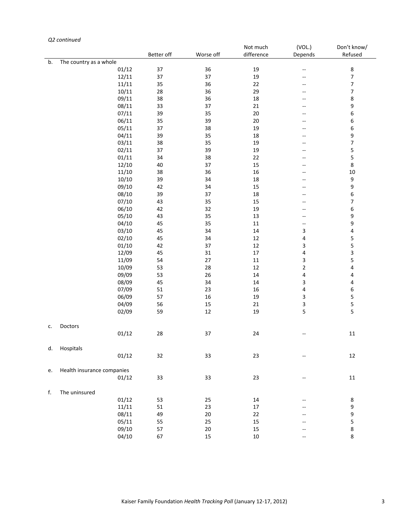# *Q2 continued*

|    |                            |            |           | Not much   | (VOL.)                   | Don't know/             |
|----|----------------------------|------------|-----------|------------|--------------------------|-------------------------|
|    |                            | Better off | Worse off | difference | Depends                  | Refused                 |
| b. | The country as a whole     |            |           |            |                          |                         |
|    | 01/12                      | 37         | 36        | 19         | 44                       | $\bf 8$                 |
|    | 12/11                      | 37         | 37        | 19         | $\overline{a}$           | $\overline{7}$          |
|    | 11/11                      | 35         | 36        | 22         | --                       | $\overline{7}$          |
|    | 10/11                      | 28         | 36        | 29         | $\overline{\phantom{a}}$ | $\overline{\mathbf{7}}$ |
|    | 09/11                      | 38         | 36        | 18         | --                       | 8                       |
|    | 08/11                      | 33         | 37        | $21\,$     | --                       | 9                       |
|    | 07/11                      | 39         | 35        | $20\,$     | $-\!$ –                  | 6                       |
|    | 06/11                      | 35         | 39        | $20\,$     | $\overline{a}$           | 6                       |
|    | 05/11                      | 37         | 38        | 19         | $\overline{\phantom{a}}$ | 6                       |
|    | 04/11                      | 39         | 35        | $18\,$     | --                       | 9                       |
|    | 03/11                      | 38         | 35        | 19         | $\overline{a}$           | $\overline{7}$          |
|    | 02/11                      | 37         | 39        | 19         | $-\!$ –                  | 5                       |
|    | 01/11                      | 34         | 38        | 22         | --                       | 5                       |
|    |                            | 40         | 37        | 15         |                          | $\,8\,$                 |
|    | 12/10                      |            |           |            | $-$                      |                         |
|    | 11/10                      | 38         | 36        | $16\,$     | $\overline{a}$           | $10\,$                  |
|    | 10/10                      | 39         | 34        | $18\,$     | --                       | $\boldsymbol{9}$        |
|    | 09/10                      | 42         | 34        | 15         | $-$                      | $\boldsymbol{9}$        |
|    | 08/10                      | 39         | 37        | 18         | $-\!$ –                  | 6                       |
|    | 07/10                      | 43         | 35        | 15         | --                       | $\boldsymbol{7}$        |
|    | 06/10                      | 42         | 32        | 19         | $-$                      | 6                       |
|    | 05/10                      | 43         | 35        | 13         | $\overline{a}$           | 9                       |
|    | 04/10                      | 45         | 35        | $11\,$     | --                       | 9                       |
|    | 03/10                      | 45         | 34        | $14\,$     | 3                        | 4                       |
|    | 02/10                      | 45         | 34        | $12\,$     | 4                        | 5                       |
|    | 01/10                      | 42         | 37        | $12\,$     | 3                        | 5                       |
|    | 12/09                      | 45         | 31        | $17\,$     | 4                        | $\overline{\mathbf{3}}$ |
|    | 11/09                      | 54         | $27\,$    | $11\,$     | 3                        | 5                       |
|    | 10/09                      | 53         | 28        | $12\,$     | $\mathbf 2$              | 4                       |
|    | 09/09                      | 53         | 26        | 14         | 4                        | 4                       |
|    | 08/09                      | 45         | 34        | $14\,$     | 3                        | $\overline{\mathbf{4}}$ |
|    | 07/09                      | 51         | 23        | $16\,$     | $\pmb{4}$                | $\,$ 6 $\,$             |
|    | 06/09                      | 57         | $16\,$    | 19         | $\mathbf{3}$             | 5                       |
|    | 04/09                      | 56         | 15        | $21\,$     | $\mathbf{3}$             | 5                       |
|    | 02/09                      | 59         | $12\,$    | 19         | 5                        | 5                       |
|    |                            |            |           |            |                          |                         |
| c. | Doctors                    |            |           |            |                          |                         |
|    | 01/12                      | 28         | 37        | 24         | н.                       | $11\,$                  |
|    |                            |            |           |            |                          |                         |
| d. | Hospitals                  |            |           |            |                          |                         |
|    | 01/12                      | 32         | 33        | 23         | $-\!$ –                  | 12                      |
|    |                            |            |           |            |                          |                         |
| e. | Health insurance companies |            |           |            |                          |                         |
|    | 01/12                      | 33         | 33        | 23         | $\overline{\phantom{a}}$ | 11                      |
|    |                            |            |           |            |                          |                         |
| f. | The uninsured              |            |           |            |                          |                         |
|    | 01/12                      | 53         | 25        | 14         |                          | 8                       |
|    | 11/11                      | 51         | 23        | 17         |                          | 9                       |
|    | 08/11                      |            | $20\,$    | 22         |                          | 9                       |
|    |                            | 49         |           |            |                          |                         |
|    | 05/11                      | 55         | 25        | 15         |                          | 5                       |
|    | 09/10                      | 57         | $20\,$    | 15         |                          | 8                       |
|    | 04/10                      | 67         | 15        | $10\,$     | --                       | 8                       |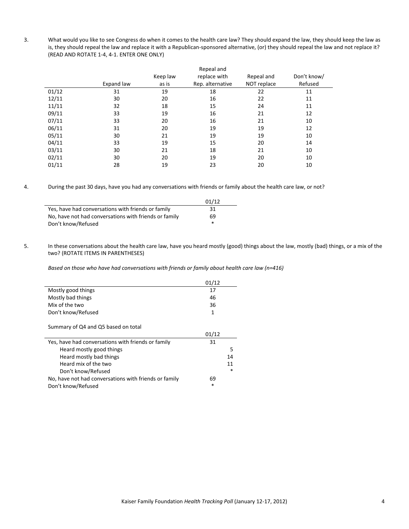3. What would you like to see Congress do when it comes to the health care law? They should expand the law, they should keep the law as is, they should repeal the law and replace it with a Republican-sponsored alternative, (or) they should repeal the law and not replace it? (READ AND ROTATE 1‐4, 4‐1. ENTER ONE ONLY)

|       |            |          | Repeal and       |             |             |
|-------|------------|----------|------------------|-------------|-------------|
|       |            | Keep law | replace with     | Repeal and  | Don't know/ |
|       | Expand law | as is    | Rep. alternative | NOT replace | Refused     |
| 01/12 | 31         | 19       | 18               | 22          | 11          |
| 12/11 | 30         | 20       | 16               | 22          | 11          |
| 11/11 | 32         | 18       | 15               | 24          | 11          |
| 09/11 | 33         | 19       | 16               | 21          | 12          |
| 07/11 | 33         | 20       | 16               | 21          | 10          |
| 06/11 | 31         | 20       | 19               | 19          | 12          |
| 05/11 | 30         | 21       | 19               | 19          | 10          |
| 04/11 | 33         | 19       | 15               | 20          | 14          |
| 03/11 | 30         | 21       | 18               | 21          | 10          |
| 02/11 | 30         | 20       | 19               | 20          | 10          |
| 01/11 | 28         | 19       | 23               | 20          | 10          |

4. During the past 30 days, have you had any conversations with friends or family about the health care law, or not?

|                                                       | 01/12 |
|-------------------------------------------------------|-------|
| Yes, have had conversations with friends or family    | 31    |
| No, have not had conversations with friends or family | 69    |
| Don't know/Refused                                    | *     |

5. In these conversations about the health care law, have you heard mostly (good) things about the law, mostly (bad) things, or a mix of the two? (ROTATE ITEMS IN PARENTHESES)

*Based on those who have had conversations with friends or family about health care law (n=416)*

|                                                       | 01/12  |        |
|-------------------------------------------------------|--------|--------|
| Mostly good things                                    | 17     |        |
| Mostly bad things                                     | 46     |        |
| Mix of the two                                        | 36     |        |
| Don't know/Refused                                    | 1      |        |
| Summary of Q4 and Q5 based on total                   |        |        |
|                                                       | 01/12  |        |
| Yes, have had conversations with friends or family    | 31     |        |
| Heard mostly good things                              |        | 5      |
| Heard mostly bad things                               |        | 14     |
| Heard mix of the two                                  |        | 11     |
| Don't know/Refused                                    |        | $\ast$ |
| No, have not had conversations with friends or family | 69     |        |
| Don't know/Refused                                    | $\ast$ |        |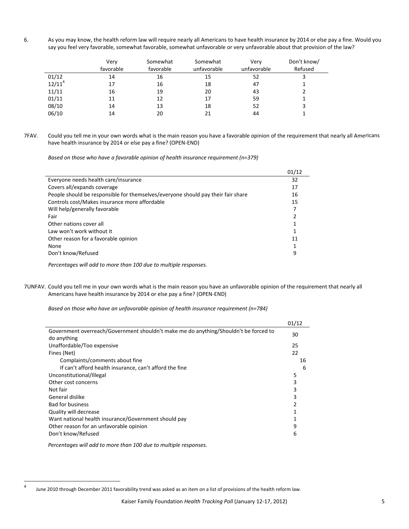6. As you may know, the health reform law will require nearly all Americans to have health insurance by 2014 or else pay a fine. Would you say you feel very favorable, somewhat favorable, somewhat unfavorable or very unfavorable about that provision of the law?

|           | Very<br>favorable | Somewhat<br>favorable | Somewhat<br>unfavorable | Verv<br>unfavorable | Don't know/<br>Refused |
|-----------|-------------------|-----------------------|-------------------------|---------------------|------------------------|
| 01/12     | 14                | 16                    | 15                      | 52                  |                        |
| $12/11^4$ | 17                | 16                    | 18                      | 47                  |                        |
| 11/11     | 16                | 19                    | 20                      | 43                  |                        |
| 01/11     | 11                | 12                    | 17                      | 59                  |                        |
| 08/10     | 14                | 13                    | 18                      | 52                  |                        |
| 06/10     | 14                | 20                    | 21                      | 44                  |                        |

7FAV. Could you tell me in your own words what is the main reason you have a favorable opinion of the requirement that nearly all Americans have health insurance by 2014 or else pay a fine? (OPEN‐END)

*Based on those who have a favorable opinion of health insurance requirement (n=379)*

|                                                                                  | 01/12 |
|----------------------------------------------------------------------------------|-------|
| Everyone needs health care/insurance                                             | 32    |
| Covers all/expands coverage                                                      | 17    |
| People should be responsible for themselves/everyone should pay their fair share | 16    |
| Controls cost/Makes insurance more affordable                                    | 15    |
| Will help/generally favorable                                                    |       |
| Fair                                                                             |       |
| Other nations cover all                                                          |       |
| Law won't work without it                                                        |       |
| Other reason for a favorable opinion                                             | 11    |
| None                                                                             |       |
| Don't know/Refused                                                               | 9     |
|                                                                                  |       |

*Percentages will add to more than 100 due to multiple responses.*

7UNFAV. Could you tell me in your own words what is the main reason you have an unfavorable opinion of the requirement that nearly all Americans have health insurance by 2014 or else pay a fine? (OPEN‐END)

*Based on those who have an unfavorable opinion of health insurance requirement (n=784)*

|                                                                                      | 01/12 |
|--------------------------------------------------------------------------------------|-------|
| Government overreach/Government shouldn't make me do anything/Shouldn't be forced to | 30    |
| do anything                                                                          |       |
| Unaffordable/Too expensive                                                           | 25    |
| Fines (Net)                                                                          | 22    |
| Complaints/comments about fine                                                       | 16    |
| If can't afford health insurance, can't afford the fine                              | 6     |
| Unconstitutional/Illegal                                                             | 5     |
| Other cost concerns                                                                  | 3     |
| Not fair                                                                             | 3     |
| General dislike                                                                      | 3     |
| <b>Bad for business</b>                                                              | 2     |
| Quality will decrease                                                                |       |
| Want national health insurance/Government should pay                                 |       |
| Other reason for an unfavorable opinion                                              | 9     |
| Don't know/Refused                                                                   | 6     |
|                                                                                      |       |

*Percentages will add to more than 100 due to multiple responses.*

<sup>4</sup> June 2010 through December 2011 favorability trend was asked as an item on a list of provisions of the health reform law.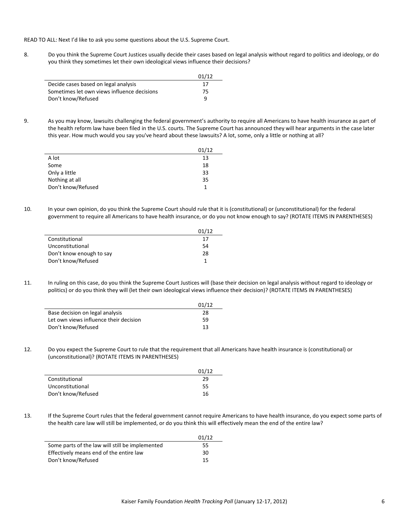READ TO ALL: Next I'd like to ask you some questions about the U.S. Supreme Court.

8. Do you think the Supreme Court Justices usually decide their cases based on legal analysis without regard to politics and ideology, or do you think they sometimes let their own ideological views influence their decisions?

|                                             | 01/12 |
|---------------------------------------------|-------|
| Decide cases based on legal analysis        | 17    |
| Sometimes let own views influence decisions | 75    |
| Don't know/Refused                          | q     |

9. As you may know, lawsuits challenging the federal government's authority to require all Americans to have health insurance as part of the health reform law have been filed in the U.S. courts. The Supreme Court has announced they will hear arguments in the case later this year. How much would you say you've heard about these lawsuits? A lot, some, only a little or nothing at all?

|                    | 01/12 |
|--------------------|-------|
| A lot              | 13    |
| Some               | 18    |
| Only a little      | 33    |
| Nothing at all     | 35    |
| Don't know/Refused |       |

10. In your own opinion, do you think the Supreme Court should rule that it is (constitutional) or (unconstitutional) for the federal government to require all Americans to have health insurance, or do you not know enough to say? (ROTATE ITEMS IN PARENTHESES)

|                          | 01/12 |
|--------------------------|-------|
| Constitutional           | 17    |
| Unconstitutional         | 54    |
| Don't know enough to say | 28    |
| Don't know/Refused       |       |

11. In ruling on this case, do you think the Supreme Court Justices will (base their decision on legal analysis without regard to ideology or politics) or do you think they will (let their own ideological views influence their decision)? (ROTATE ITEMS IN PARENTHESES)

|                                        | 01/12 |
|----------------------------------------|-------|
| Base decision on legal analysis        | 28    |
| Let own views influence their decision | 59    |
| Don't know/Refused                     | 13    |

12. Do you expect the Supreme Court to rule that the requirement that all Americans have health insurance is (constitutional) or (unconstitutional)? (ROTATE ITEMS IN PARENTHESES)

|                    | 01/12 |
|--------------------|-------|
| Constitutional     | 29    |
| Unconstitutional   | 55    |
| Don't know/Refused | 16    |

13. If the Supreme Court rules that the federal government cannot require Americans to have health insurance, do you expect some parts of the health care law will still be implemented, or do you think this will effectively mean the end of the entire law?

|                                                 | 01/12 |
|-------------------------------------------------|-------|
| Some parts of the law will still be implemented | 55    |
| Effectively means end of the entire law         | 30    |
| Don't know/Refused                              | 15    |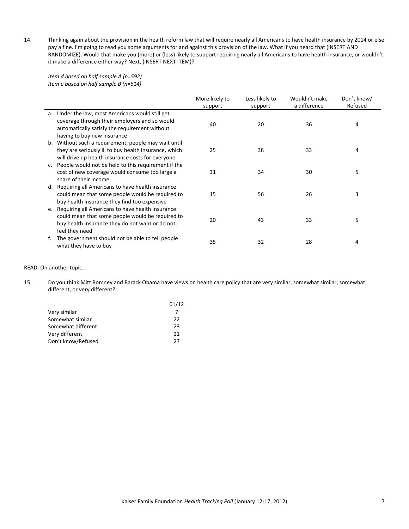14. Thinking again about the provision in the health reform law that will require nearly all Americans to have health insurance by 2014 or else pay a fine. I'm going to read you some arguments for and against this provision of the law. What if you heard that (INSERT AND RANDOMIZE). Would that make you (more) or (less) likely to support requiring nearly all Americans to have health insurance, or wouldn't it make a difference either way? Next, (INSERT NEXT ITEM)?

*Item d based on half sample A (n=592) Item e based on half sample B (n=614)*

|    |                                                                                                                                                                                | More likely to | Less likely to | Wouldn't make | Don't know/ |
|----|--------------------------------------------------------------------------------------------------------------------------------------------------------------------------------|----------------|----------------|---------------|-------------|
|    |                                                                                                                                                                                | support        | support        | a difference  | Refused     |
| а. | Under the law, most Americans would still get<br>coverage through their employers and so would<br>automatically satisfy the requirement without<br>having to buy new insurance | 40             | 20             | 36            | 4           |
| b. | Without such a requirement, people may wait until<br>they are seriously ill to buy health insurance, which<br>will drive up health insurance costs for everyone                | 25             | 38             | 33            | 4           |
|    | People would not be held to this requirement if the<br>cost of new coverage would consume too large a<br>share of their income                                                 | 31             | 34             | 30            | 5           |
| d. | Requiring all Americans to have health insurance<br>could mean that some people would be required to<br>buy health insurance they find too expensive                           | 15             | 56             | 26            | 3           |
|    | e. Requiring all Americans to have health insurance<br>could mean that some people would be required to<br>buy health insurance they do not want or do not<br>feel they need   | 20             | 43             | 33            | 5           |
|    | The government should not be able to tell people<br>what they have to buy                                                                                                      | 35             | 32             | 28            | 4           |

### READ: On another topic…

 $\overline{\phantom{a}}$ 

15. Do you think Mitt Romney and Barack Obama have views on health care policy that are very similar, somewhat similar, somewhat different, or very different?

|                    | 01/12 |
|--------------------|-------|
| Very similar       |       |
| Somewhat similar   | 22    |
| Somewhat different | 23    |
| Very different     | 21    |
| Don't know/Refused | 27    |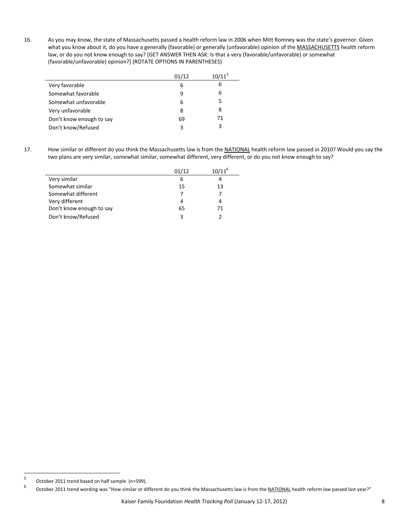16. As you may know, the state of Massachusetts passed a health reform law in 2006 when Mitt Romney was the state's governor. Given what you know about it, do you have a generally (favorable) or generally (unfavorable) opinion of the MASSACHUSETTS health reform law, or do you not know enough to say? [GET ANSWER THEN ASK: Is that a very (favorable/unfavorable) or somewhat (favorable/unfavorable) opinion?] (ROTATE OPTIONS IN PARENTHESES)

|                          | 01/12 | $10/11^5$ |
|--------------------------|-------|-----------|
| Very favorable           | 6     | 6         |
| Somewhat favorable       | 9     | 6         |
| Somewhat unfavorable     | 6     | 5         |
| Very unfavorable         | 8     | 8         |
| Don't know enough to say | 69    | 71        |
| Don't know/Refused       | 3     | 3         |

L

17. How similar or different do you think the Massachusetts law is from the NATIONAL health reform law passed in 2010? Would you say the two plans are very similar, somewhat similar, somewhat different, very different, or do you not know enough to say?

|                          | 01/12 | $10/11^{6}$ |
|--------------------------|-------|-------------|
| Very similar             | 6     | 4           |
| Somewhat similar         | 15    | 13          |
| Somewhat different       |       |             |
| Very different           | 4     | 4           |
| Don't know enough to say | 65    | 71          |
| Don't know/Refused       | 3     |             |

<sup>5</sup> October 2011 trend based on half sample (n=599).

<sup>6</sup> October 2011 trend wording was "How similar or different do you think the Massachusetts law is from the NATIONAL health reform law passed last year?"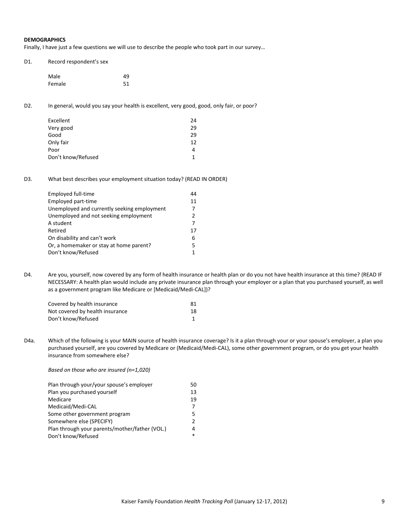## **DEMOGRAPHICS**

Finally, I have just a few questions we will use to describe the people who took part in our survey…

| D1. | Record respondent's sex |    |  |
|-----|-------------------------|----|--|
|     | Male                    | 49 |  |
|     | Female                  | 51 |  |

D2. In general, would you say your health is excellent, very good, good, only fair, or poor?

| Excellent          | 24 |
|--------------------|----|
| Very good          | 29 |
| Good               | 29 |
| Only fair          | 12 |
| Poor               | 4  |
| Don't know/Refused | 1  |

D3. What best describes your employment situation today? (READ IN ORDER)

| Employed full-time                          | 44 |
|---------------------------------------------|----|
| Employed part-time                          | 11 |
| Unemployed and currently seeking employment |    |
| Unemployed and not seeking employment       | 2  |
| A student                                   |    |
| Retired                                     | 17 |
| On disability and can't work                | 6  |
| Or, a homemaker or stay at home parent?     | 5. |
| Don't know/Refused                          |    |
|                                             |    |

D4. Are you, yourself, now covered by any form of health insurance or health plan or do you not have health insurance at this time? (READ IF NECESSARY: A health plan would include any private insurance plan through your employer or a plan that you purchased yourself, as well as a government program like Medicare or [Medicaid/Medi‐CAL])?

| Covered by health insurance     | 81 |
|---------------------------------|----|
| Not covered by health insurance | 18 |
| Don't know/Refused              |    |

D4a. Which of the following is your MAIN source of health insurance coverage? Is it a plan through your or your spouse's employer, a plan you purchased yourself, are you covered by Medicare or (Medicaid/Medi‐CAL), some other government program, or do you get your health insurance from somewhere else?

*Based on those who are insured (n=1,020)*

| Plan through your/your spouse's employer       | 50            |
|------------------------------------------------|---------------|
| Plan you purchased yourself                    | 13            |
| Medicare                                       | 19            |
| Medicaid/Medi-CAL                              |               |
| Some other government program                  | 5             |
| Somewhere else (SPECIFY)                       | $\mathcal{P}$ |
| Plan through your parents/mother/father (VOL.) | 4             |
| Don't know/Refused                             |               |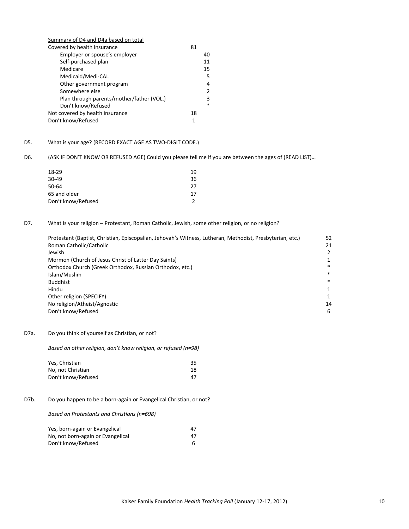| Summary of D4 and D4a based on total      |    |        |
|-------------------------------------------|----|--------|
| Covered by health insurance               | 81 |        |
| Employer or spouse's employer             |    | 40     |
| Self-purchased plan                       |    | 11     |
| Medicare                                  |    | 15     |
| Medicaid/Medi-CAL                         |    | 5      |
| Other government program                  |    | 4      |
| Somewhere else                            |    | 2      |
| Plan through parents/mother/father (VOL.) |    | 3      |
| Don't know/Refused                        |    | $\ast$ |
| Not covered by health insurance           | 18 |        |
| Don't know/Refused                        | 1  |        |

# D5. What is your age? (RECORD EXACT AGE AS TWO‐DIGIT CODE.)

D6. (ASK IF DON'T KNOW OR REFUSED AGE) Could you please tell me if you are between the ages of (READ LIST)…

| 18-29              | 19 |
|--------------------|----|
| 30-49              | 36 |
| 50-64              | 27 |
| 65 and older       | 17 |
| Don't know/Refused |    |
|                    |    |

## D7. What is your religion - Protestant, Roman Catholic, Jewish, some other religion, or no religion?

| Protestant (Baptist, Christian, Episcopalian, Jehovah's Witness, Lutheran, Methodist, Presbyterian, etc.) | 52     |
|-----------------------------------------------------------------------------------------------------------|--------|
| Roman Catholic/Catholic                                                                                   | 21     |
| Jewish                                                                                                    |        |
| Mormon (Church of Jesus Christ of Latter Day Saints)                                                      |        |
| Orthodox Church (Greek Orthodox, Russian Orthodox, etc.)                                                  | *      |
| Islam/Muslim                                                                                              | $\ast$ |
| <b>Buddhist</b>                                                                                           | $\ast$ |
| Hindu                                                                                                     |        |
| Other religion (SPECIFY)                                                                                  |        |
| No religion/Atheist/Agnostic                                                                              | 14     |
| Don't know/Refused                                                                                        | 6      |

## D7a. Do you think of yourself as Christian, or not?

*Based on other religion, don't know religion, or refused (n=98)*

| Yes, Christian     | 35. |  |
|--------------------|-----|--|
| No, not Christian  | 18  |  |
| Don't know/Refused | 47  |  |

# D7b. Do you happen to be a born-again or Evangelical Christian, or not?

#### *Based on Protestants and Christians (n=698)*

| Yes, born-again or Evangelical    | 47 |  |
|-----------------------------------|----|--|
| No, not born-again or Evangelical | 47 |  |
| Don't know/Refused                |    |  |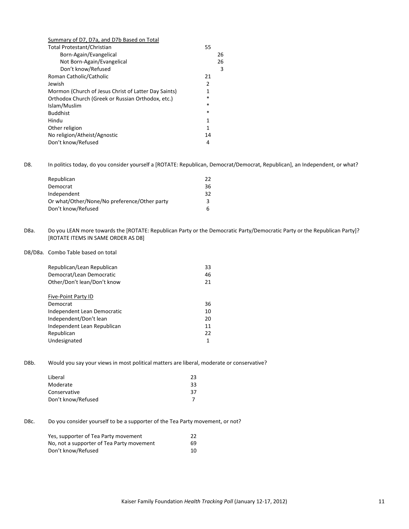| Summary of D7, D7a, and D7b Based on Total           |        |    |
|------------------------------------------------------|--------|----|
| Total Protestant/Christian                           | 55     |    |
| Born-Again/Evangelical                               |        | 26 |
| Not Born-Again/Evangelical                           |        | 26 |
| Don't know/Refused                                   |        | 3  |
| Roman Catholic/Catholic                              | 21     |    |
| Jewish                                               | 2      |    |
| Mormon (Church of Jesus Christ of Latter Day Saints) | 1      |    |
| Orthodox Church (Greek or Russian Orthodox, etc.)    | *      |    |
| Islam/Muslim                                         | $\ast$ |    |
| <b>Buddhist</b>                                      | $\ast$ |    |
| Hindu                                                | 1      |    |
| Other religion                                       | 1      |    |
| No religion/Atheist/Agnostic                         | 14     |    |
| Don't know/Refused                                   | 4      |    |
|                                                      |        |    |

D8. In politics today, do you consider yourself a [ROTATE: Republican, Democrat/Democrat, Republican], an Independent, or what?

| Republican                                   | 22 |
|----------------------------------------------|----|
| Democrat                                     | 36 |
| Independent                                  | 32 |
| Or what/Other/None/No preference/Other party | ີຊ |
| Don't know/Refused                           | 6. |

D8a. Do you LEAN more towards the [ROTATE: Republican Party or the Democratic Party/Democratic Party or the Republican Party]? [ROTATE ITEMS IN SAME ORDER AS D8]

D8/D8a. Combo Table based on total

| Republican/Lean Republican  | 33 |
|-----------------------------|----|
| Democrat/Lean Democratic    | 46 |
| Other/Don't lean/Don't know | 21 |
|                             |    |
| Five-Point Party ID         |    |
| Democrat                    | 36 |
| Independent Lean Democratic | 10 |
| Independent/Don't lean      | 20 |
| Independent Lean Republican | 11 |
| Republican                  | 22 |
| Undesignated                | 1  |

D8b. Would you say your views in most political matters are liberal, moderate or conservative?

| Liberal            | 23 |
|--------------------|----|
| Moderate           | 33 |
| Conservative       | 37 |
| Don't know/Refused |    |
|                    |    |

D8c. Do you consider yourself to be a supporter of the Tea Party movement, or not?

| Yes, supporter of Tea Party movement      | 22  |
|-------------------------------------------|-----|
| No, not a supporter of Tea Party movement | 69. |
| Don't know/Refused                        | 10  |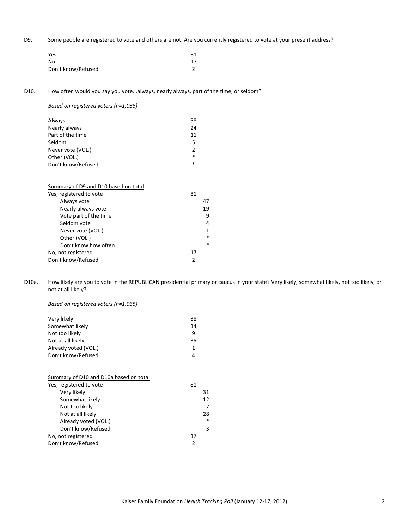D9. Some people are registered to vote and others are not. Are you currently registered to vote at your present address?

| Yes                | 81 |
|--------------------|----|
| No                 | 17 |
| Don't know/Refused |    |

D10. How often would you say you vote...always, nearly always, part of the time, or seldom?

*Based on registered voters (n=1,035)*

| Always             | 58            |
|--------------------|---------------|
| Nearly always      | 24            |
| Part of the time   | 11            |
| Seldom             | 5             |
| Never vote (VOL.)  | $\mathcal{P}$ |
| Other (VOL.)       | $\ast$        |
| Don't know/Refused | *             |
|                    |               |

| Summary of D9 and D10 based on total |    |        |
|--------------------------------------|----|--------|
| Yes, registered to vote              | 81 |        |
| Always vote                          |    | 47     |
| Nearly always vote                   |    | 19     |
| Vote part of the time                |    | 9      |
| Seldom vote                          |    | 4      |
| Never vote (VOL.)                    |    | 1      |
| Other (VOL.)                         |    | $\ast$ |
| Don't know how often                 |    | $\ast$ |
| No, not registered                   | 17 |        |
| Don't know/Refused                   | 2  |        |
|                                      |    |        |

D10a. How likely are you to vote in the REPUBLICAN presidential primary or caucus in your state? Very likely, somewhat likely, not too likely, or not at all likely?

*Based on registered voters (n=1,035)*

| Very likely          | 38 |
|----------------------|----|
| Somewhat likely      | 14 |
| Not too likely       | q  |
| Not at all likely    | 35 |
| Already voted (VOL.) |    |
| Don't know/Refused   | 4  |

| Summary of D10 and D10a based on total |        |
|----------------------------------------|--------|
| Yes, registered to vote                | 81     |
| Very likely                            | 31     |
| Somewhat likely                        | 12     |
| Not too likely                         | 7      |
| Not at all likely                      | 28     |
| Already voted (VOL.)                   | $\ast$ |
| Don't know/Refused                     | 3      |
| No, not registered                     | 17     |
| Don't know/Refused                     | 2      |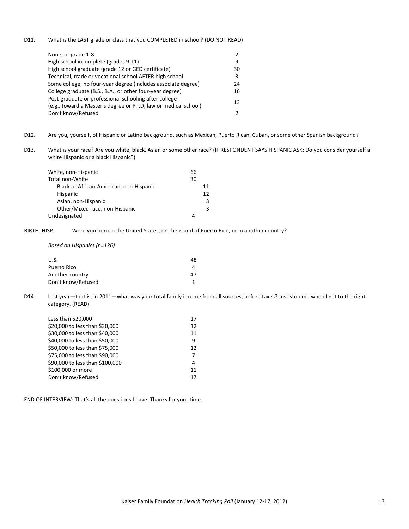D11. What is the LAST grade or class that you COMPLETED in school? (DO NOT READ)

| None, or grade 1-8                                                                                                       | $\mathcal{P}$ |
|--------------------------------------------------------------------------------------------------------------------------|---------------|
| High school incomplete (grades 9-11)                                                                                     | 9             |
| High school graduate (grade 12 or GED certificate)                                                                       | 30            |
| Technical, trade or vocational school AFTER high school                                                                  | 3             |
| Some college, no four-year degree (includes associate degree)                                                            | 24            |
| College graduate (B.S., B.A., or other four-year degree)                                                                 | 16            |
| Post-graduate or professional schooling after college<br>(e.g., toward a Master's degree or Ph.D; law or medical school) | 13            |
| Don't know/Refused                                                                                                       | 2             |

- D12. Are you, yourself, of Hispanic or Latino background, such as Mexican, Puerto Rican, Cuban, or some other Spanish background?
- D13. What is your race? Are you white, black, Asian or some other race? (IF RESPONDENT SAYS HISPANIC ASK: Do you consider yourself a white Hispanic or a black Hispanic?)

| White, non-Hispanic                     | 66 |    |
|-----------------------------------------|----|----|
| Total non-White                         | 30 |    |
| Black or African-American, non-Hispanic |    | 11 |
| <b>Hispanic</b>                         |    | 12 |
| Asian, non-Hispanic                     |    | 3  |
| Other/Mixed race, non-Hispanic          |    | 3  |
| Undesignated                            | 4  |    |

BIRTH HISP. Were you born in the United States, on the island of Puerto Rico, or in another country?

*Based on Hispanics (n=126)*

| U.S.               | 48 |
|--------------------|----|
| Puerto Rico        |    |
| Another country    | 47 |
| Don't know/Refused |    |

D14. Last year—that is, in 2011—what was your total family income from all sources, before taxes? Just stop me when I get to the right category. (READ)

| Less than \$20,000              | 17 |
|---------------------------------|----|
| \$20,000 to less than \$30,000  | 12 |
| \$30,000 to less than \$40,000  | 11 |
| \$40,000 to less than \$50,000  | 9  |
| \$50,000 to less than \$75,000  | 12 |
| \$75,000 to less than \$90,000  | 7  |
| \$90,000 to less than \$100,000 | 4  |
| \$100,000 or more               | 11 |
| Don't know/Refused              | 17 |
|                                 |    |

END OF INTERVIEW: That's all the questions I have. Thanks for your time.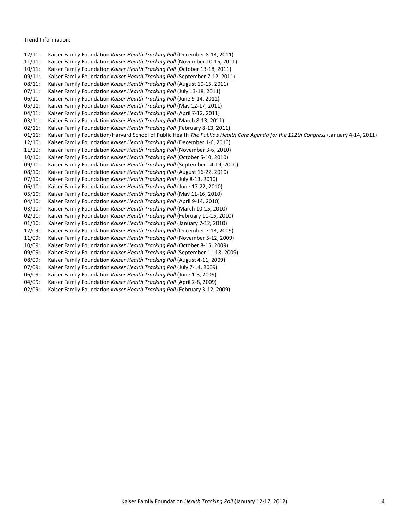### Trend Information:

- 12/11: Kaiser Family Foundation *Kaiser Health Tracking Poll* (December 8‐13, 2011)
- 11/11: Kaiser Family Foundation *Kaiser Health Tracking Poll* (November 10‐15, 2011)
- 10/11: Kaiser Family Foundation *Kaiser Health Tracking Poll* (October 13‐18, 2011)
- 09/11: Kaiser Family Foundation *Kaiser Health Tracking Poll* (September 7‐12, 2011)
- 08/11: Kaiser Family Foundation *Kaiser Health Tracking Poll* (August 10‐15, 2011)
- 07/11: Kaiser Family Foundation *Kaiser Health Tracking Poll* (July 13‐18, 2011)
- 06/11 Kaiser Family Foundation *Kaiser Health Tracking Poll* (June 9‐14, 2011) 05/11: Kaiser Family Foundation *Kaiser Health Tracking Poll* (May 12‐17, 2011)
- 04/11: Kaiser Family Foundation *Kaiser Health Tracking Poll* (April 7‐12, 2011)
- 03/11: Kaiser Family Foundation *Kaiser Health Tracking Poll* (March 8‐13, 2011)
- 02/11: Kaiser Family Foundation *Kaiser Health Tracking Poll* (February 8‐13, 2011)
- 
- 01/11: Kaiser Family Foundation/Harvard School of Public Health *The Public's Health Care Agenda for the 112th Congress* (January 4‐14, 2011)
- 12/10: Kaiser Family Foundation *Kaiser Health Tracking Poll* (December 1‐6, 2010)
- 11/10: Kaiser Family Foundation *Kaiser Health Tracking Poll* (November 3‐6, 2010)
- 10/10: Kaiser Family Foundation *Kaiser Health Tracking Poll* (October 5‐10, 2010)
- 09/10: Kaiser Family Foundation *Kaiser Health Tracking Poll* (September 14‐19, 2010)
- 08/10: Kaiser Family Foundation *Kaiser Health Tracking Poll* (August 16‐22, 2010)
- 07/10: Kaiser Family Foundation *Kaiser Health Tracking Poll* (July 8‐13, 2010)
- 06/10: Kaiser Family Foundation *Kaiser Health Tracking Poll* (June 17‐22, 2010)
- 05/10: Kaiser Family Foundation *Kaiser Health Tracking Poll* (May 11‐16, 2010)
- 04/10: Kaiser Family Foundation *Kaiser Health Tracking Poll* (April 9‐14, 2010)
- 03/10: Kaiser Family Foundation *Kaiser Health Tracking Poll* (March 10‐15, 2010)
- 02/10: Kaiser Family Foundation *Kaiser Health Tracking Poll* (February 11‐15, 2010)
- 01/10: Kaiser Family Foundation *Kaiser Health Tracking Poll* (January 7‐12, 2010)
- 12/09: Kaiser Family Foundation *Kaiser Health Tracking Poll* (December 7‐13, 2009)
- 11/09: Kaiser Family Foundation *Kaiser Health Tracking Poll* (November 5‐12, 2009)
- 10/09: Kaiser Family Foundation *Kaiser Health Tracking Poll* (October 8‐15, 2009)
- 09/09: Kaiser Family Foundation *Kaiser Health Tracking Poll* (September 11‐18, 2009)
- 08/09: Kaiser Family Foundation *Kaiser Health Tracking Poll* (August 4‐11, 2009)
- 07/09: Kaiser Family Foundation *Kaiser Health Tracking Poll* (July 7‐14, 2009)
- 06/09: Kaiser Family Foundation *Kaiser Health Tracking Poll* (June 1‐8, 2009)
- 04/09: Kaiser Family Foundation *Kaiser Health Tracking Poll* (April 2‐8, 2009)
- 02/09: Kaiser Family Foundation *Kaiser Health Tracking Poll* (February 3‐12, 2009)